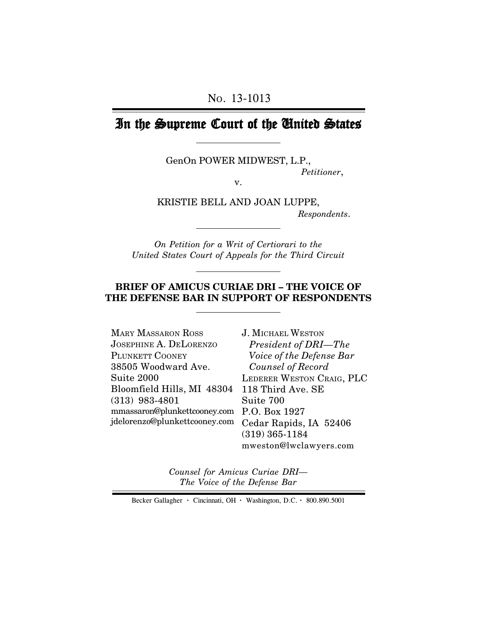# In the Supreme Court of the United States

GenOn POWER MIDWEST, L.P., *Petitioner*,

v.

KRISTIE BELL AND JOAN LUPPE,  *Respondents*.

*On Petition for a Writ of Certiorari to the United States Court of Appeals for the Third Circuit*

## **BRIEF OF AMICUS CURIAE DRI – THE VOICE OF THE DEFENSE BAR IN SUPPORT OF RESPONDENTS**

| <b>MARY MASSARON ROSS</b>     | <b>J. MICHAEL WESTON</b>  |
|-------------------------------|---------------------------|
| $J$ OSEPHINE A. DELORENZO     | President of DRI-The      |
| PLUNKETT COONEY               | Voice of the Defense Bar  |
| 38505 Woodward Ave.           | Counsel of Record         |
| Suite 2000                    | LEDERER WESTON CRAIG, PLC |
| Bloomfield Hills, MI 48304    | 118 Third Ave. SE         |
| $(313)$ 983-4801              | Suite 700                 |
| mmassaron@plunkettcooney.com  | P.O. Box 1927             |
| jdelorenzo@plunkettcooney.com | Cedar Rapids, IA 52406    |
|                               | $(319)$ 365-1184          |
|                               |                           |

3. SE P.O. Box 1927 IA 52406 (319) 365-1184 mweston@lwclawyers.com

*Counsel for Amicus Curiae DRI— The Voice of the Defense Bar*

Becker Gallagher **·** Cincinnati, OH **·** Washington, D.C. **·** 800.890.5001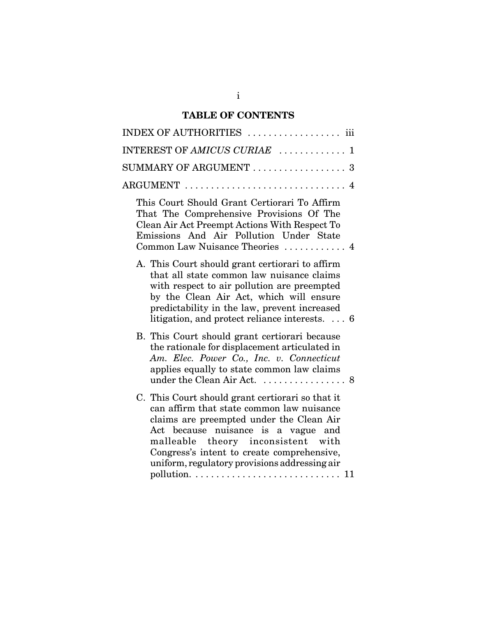# **TABLE OF CONTENTS**

| INDEX OF AUTHORITIES  iii                                                                                                                                                                                                                                                                                             |
|-----------------------------------------------------------------------------------------------------------------------------------------------------------------------------------------------------------------------------------------------------------------------------------------------------------------------|
| INTEREST OF AMICUS CURIAE  1                                                                                                                                                                                                                                                                                          |
| $SUMMARY$ OF ARGUMENT $\ldots \ldots \ldots \ldots \ldots 3$                                                                                                                                                                                                                                                          |
| $\text{ARGUMENT}\ \dots\dots\dots\dots\dots\dots\dots\dots\dots\dots\ 4$                                                                                                                                                                                                                                              |
| This Court Should Grant Certiorari To Affirm<br>That The Comprehensive Provisions Of The<br>Clean Air Act Preempt Actions With Respect To<br>Emissions And Air Pollution Under State<br>Common Law Nuisance Theories  4                                                                                               |
| A. This Court should grant certiorari to affirm<br>that all state common law nuisance claims<br>with respect to air pollution are preempted<br>by the Clean Air Act, which will ensure<br>predictability in the law, prevent increased<br>litigation, and protect reliance interests. $\ldots$ 6                      |
| B. This Court should grant certiorari because<br>the rationale for displacement articulated in<br>Am. Elec. Power Co., Inc. v. Connecticut<br>applies equally to state common law claims                                                                                                                              |
| C. This Court should grant certiorari so that it<br>can affirm that state common law nuisance<br>claims are preempted under the Clean Air<br>Act because nuisance is a vague and<br>malleable theory inconsistent with<br>Congress's intent to create comprehensive,<br>uniform, regulatory provisions addressing air |
|                                                                                                                                                                                                                                                                                                                       |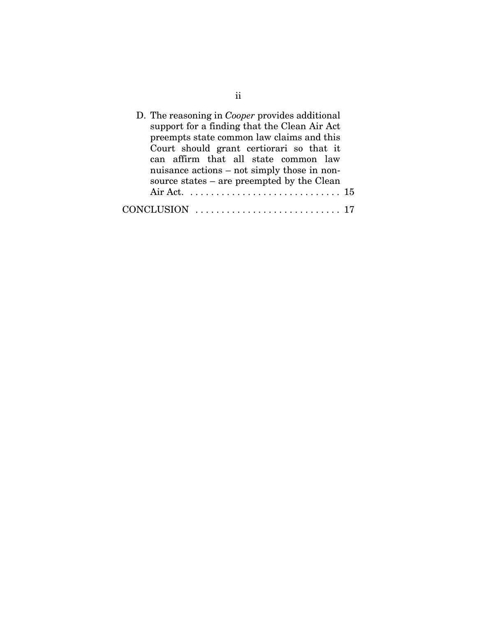| D. The reasoning in <i>Cooper</i> provides additional |
|-------------------------------------------------------|
| support for a finding that the Clean Air Act          |
| preempts state common law claims and this             |
| Court should grant certiorari so that it              |
| can affirm that all state common law                  |
| nuisance actions – not simply those in non-           |
| source states – are preempted by the Clean            |
|                                                       |
|                                                       |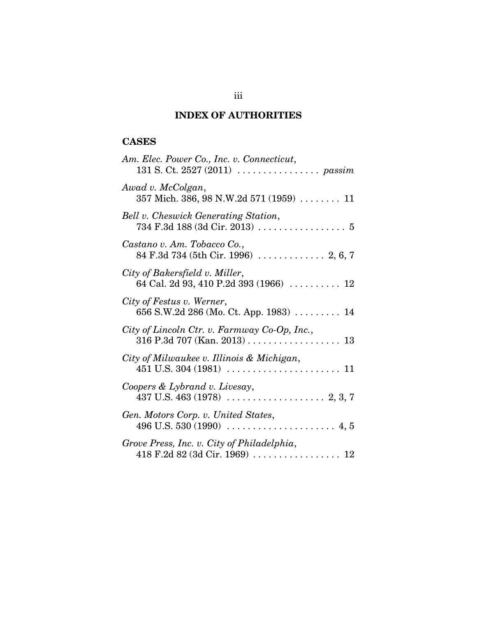# **INDEX OF AUTHORITIES**

# **CASES**

| Am. Elec. Power Co., Inc. v. Connecticut,<br>131 S. Ct. 2527 (2011) $\ldots \ldots \ldots \ldots$ passim |
|----------------------------------------------------------------------------------------------------------|
| Awad v. McColgan,<br>357 Mich. 386, 98 N.W.2d 571 (1959)  11                                             |
| Bell v. Cheswick Generating Station,                                                                     |
| Castano v. Am. Tobacco Co.,<br>84 F.3d 734 (5th Cir. 1996)  2, 6, 7                                      |
| City of Bakersfield v. Miller,<br>64 Cal. 2d 93, 410 P.2d 393 (1966) $\ldots$ 12                         |
| City of Festus v. Werner,<br>656 S.W.2d 286 (Mo. Ct. App. 1983)  14                                      |
| City of Lincoln Ctr. v. Farmway Co-Op, Inc.,                                                             |
| City of Milwaukee v. Illinois & Michigan,                                                                |
| Coopers & Lybrand v. Livesay,                                                                            |
| Gen. Motors Corp. v. United States,                                                                      |
| Grove Press, Inc. v. City of Philadelphia,                                                               |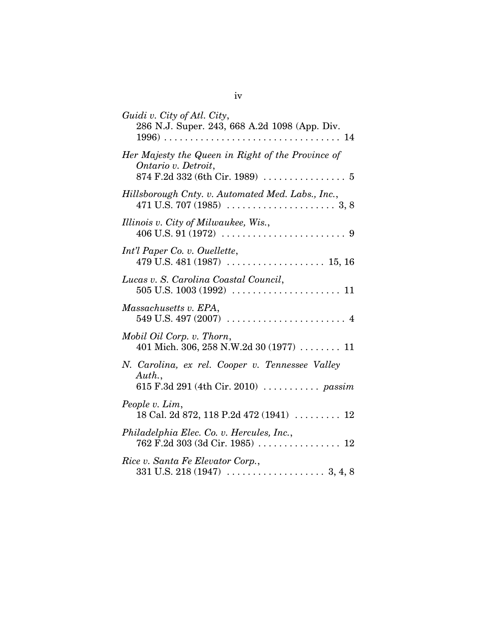| Guidi v. City of Atl. City,<br>286 N.J. Super. 243, 668 A.2d 1098 (App. Div.                      |
|---------------------------------------------------------------------------------------------------|
| Her Majesty the Queen in Right of the Province of<br>Ontario v. Detroit,                          |
| Hillsborough Cnty. v. Automated Med. Labs., Inc.,                                                 |
| Illinois v. City of Milwaukee, Wis.,                                                              |
| Int'l Paper Co. v. Ouellette,                                                                     |
| Lucas v. S. Carolina Coastal Council,                                                             |
| Massachusetts v. EPA,                                                                             |
| Mobil Oil Corp. v. Thorn,<br>401 Mich. 306, 258 N.W.2d 30 (1977)  11                              |
| N. Carolina, ex rel. Cooper v. Tennessee Valley<br>Auth.,<br>615 F.3d 291 (4th Cir. 2010)  passim |
| People v. Lim,<br>18 Cal. 2d 872, 118 P.2d 472 (1941)  12                                         |
| Philadelphia Elec. Co. v. Hercules, Inc.,<br>762 F.2d 303 (3d Cir. 1985)  12                      |
| Rice v. Santa Fe Elevator Corp.,                                                                  |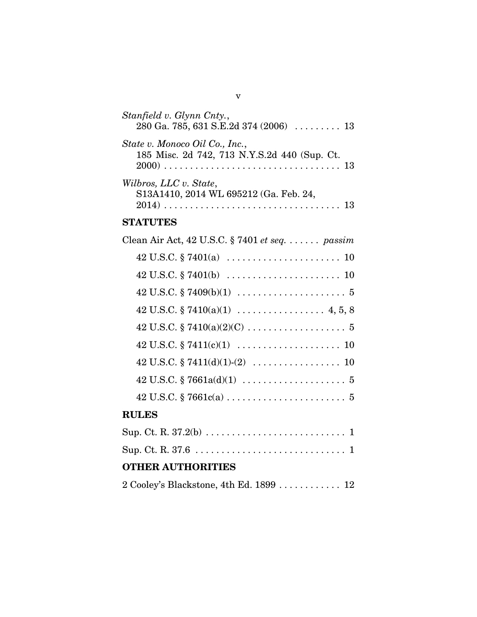| Stanfield v. Glynn Cnty.,<br>280 Ga. 785, 631 S.E.2d 374 (2006) $\ldots$ 13    |
|--------------------------------------------------------------------------------|
| State v. Monoco Oil Co., Inc.,<br>185 Misc. 2d 742, 713 N.Y.S.2d 440 (Sup. Ct. |
| Wilbros, LLC v. State,<br>S13A1410, 2014 WL 695212 (Ga. Feb. 24,               |
| <b>STATUTES</b>                                                                |
| Clean Air Act, 42 U.S.C. § 7401 et seq. $\dots \dots$ passim                   |
|                                                                                |
|                                                                                |
|                                                                                |
|                                                                                |
|                                                                                |
|                                                                                |
| 42 U.S.C. § 7411(d)(1)-(2) $\dots\dots\dots\dots\dots\dots 10$                 |
|                                                                                |
|                                                                                |
| <b>RULES</b>                                                                   |
|                                                                                |
|                                                                                |
| <b>OTHER AUTHORITIES</b>                                                       |
| 2 Cooley's Blackstone, 4th Ed. 1899  12                                        |
|                                                                                |

v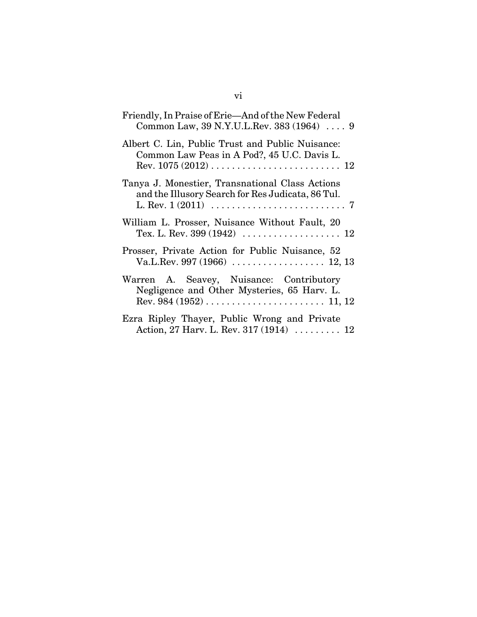| Friendly, In Praise of Erie—And of the New Federal<br>Common Law, 39 N.Y.U.L.Rev. 383 (1964)  9      |
|------------------------------------------------------------------------------------------------------|
| Albert C. Lin, Public Trust and Public Nuisance:<br>Common Law Peas in A Pod?, 45 U.C. Davis L.      |
| Tanya J. Monestier, Transnational Class Actions<br>and the Illusory Search for Res Judicata, 86 Tul. |
| William L. Prosser, Nuisance Without Fault, 20                                                       |
| Prosser, Private Action for Public Nuisance, 52                                                      |
| Warren A. Seavey, Nuisance: Contributory<br>Negligence and Other Mysteries, 65 Harv. L.              |
| Ezra Ripley Thayer, Public Wrong and Private<br>Action, 27 Harv. L. Rev. 317 (1914)  12              |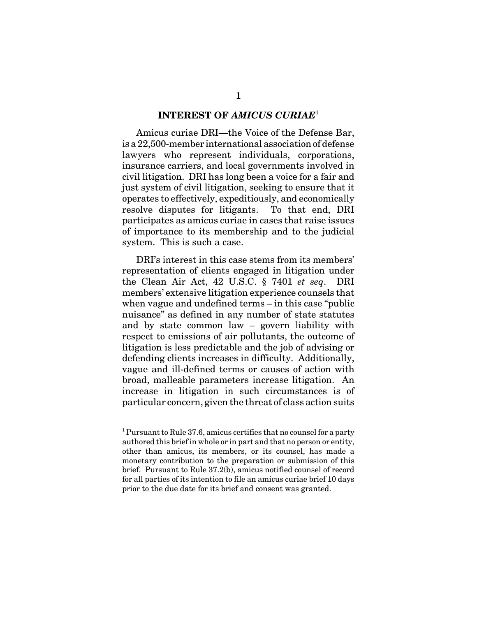### **INTEREST OF** *AMICUS CURIAE*<sup>1</sup>

Amicus curiae DRI—the Voice of the Defense Bar, is a 22,500-member international association of defense lawyers who represent individuals, corporations, insurance carriers, and local governments involved in civil litigation. DRI has long been a voice for a fair and just system of civil litigation, seeking to ensure that it operates to effectively, expeditiously, and economically resolve disputes for litigants. To that end, DRI participates as amicus curiae in cases that raise issues of importance to its membership and to the judicial system. This is such a case.

DRI's interest in this case stems from its members' representation of clients engaged in litigation under the Clean Air Act, 42 U.S.C. § 7401 *et seq*. DRI members' extensive litigation experience counsels that when vague and undefined terms – in this case "public nuisance" as defined in any number of state statutes and by state common law – govern liability with respect to emissions of air pollutants, the outcome of litigation is less predictable and the job of advising or defending clients increases in difficulty. Additionally, vague and ill-defined terms or causes of action with broad, malleable parameters increase litigation. An increase in litigation in such circumstances is of particular concern, given the threat of class action suits

<sup>&</sup>lt;sup>1</sup> Pursuant to Rule 37.6, amicus certifies that no counsel for a party authored this brief in whole or in part and that no person or entity, other than amicus, its members, or its counsel, has made a monetary contribution to the preparation or submission of this brief. Pursuant to Rule 37.2(b), amicus notified counsel of record for all parties of its intention to file an amicus curiae brief 10 days prior to the due date for its brief and consent was granted.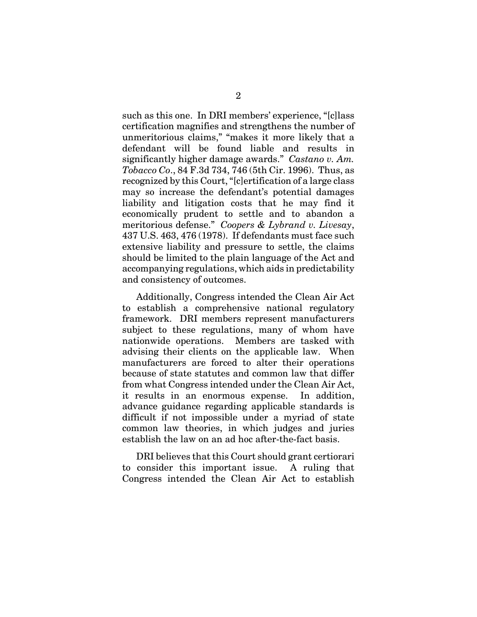such as this one. In DRI members' experience, "[c]lass certification magnifies and strengthens the number of unmeritorious claims," "makes it more likely that a defendant will be found liable and results in significantly higher damage awards." *Castano v. Am. Tobacco Co*., 84 F.3d 734, 746 (5th Cir. 1996). Thus, as recognized by this Court, "[c]ertification of a large class may so increase the defendant's potential damages liability and litigation costs that he may find it economically prudent to settle and to abandon a meritorious defense." *Coopers & Lybrand v. Livesay*, 437 U.S. 463, 476 (1978). If defendants must face such extensive liability and pressure to settle, the claims should be limited to the plain language of the Act and accompanying regulations, which aids in predictability and consistency of outcomes.

Additionally, Congress intended the Clean Air Act to establish a comprehensive national regulatory framework. DRI members represent manufacturers subject to these regulations, many of whom have nationwide operations. Members are tasked with advising their clients on the applicable law. When manufacturers are forced to alter their operations because of state statutes and common law that differ from what Congress intended under the Clean Air Act, it results in an enormous expense. In addition, advance guidance regarding applicable standards is difficult if not impossible under a myriad of state common law theories, in which judges and juries establish the law on an ad hoc after-the-fact basis.

DRI believes that this Court should grant certiorari to consider this important issue. A ruling that Congress intended the Clean Air Act to establish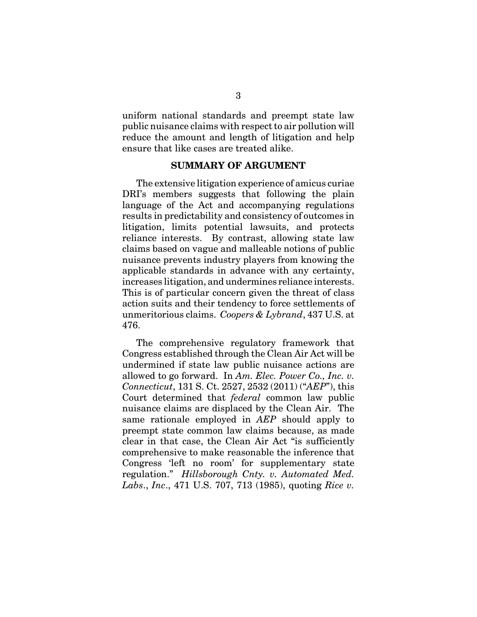uniform national standards and preempt state law public nuisance claims with respect to air pollution will reduce the amount and length of litigation and help ensure that like cases are treated alike.

#### **SUMMARY OF ARGUMENT**

The extensive litigation experience of amicus curiae DRI's members suggests that following the plain language of the Act and accompanying regulations results in predictability and consistency of outcomes in litigation, limits potential lawsuits, and protects reliance interests. By contrast, allowing state law claims based on vague and malleable notions of public nuisance prevents industry players from knowing the applicable standards in advance with any certainty, increases litigation, and undermines reliance interests. This is of particular concern given the threat of class action suits and their tendency to force settlements of unmeritorious claims. *Coopers & Lybrand*, 437 U.S. at 476.

The comprehensive regulatory framework that Congress established through the Clean Air Act will be undermined if state law public nuisance actions are allowed to go forward. In *Am. Elec. Power Co., Inc. v. Connecticut*, 131 S. Ct. 2527, 2532 (2011) ("*AEP*"), this Court determined that *federal* common law public nuisance claims are displaced by the Clean Air. The same rationale employed in *AEP* should apply to preempt state common law claims because, as made clear in that case, the Clean Air Act "is sufficiently comprehensive to make reasonable the inference that Congress 'left no room' for supplementary state regulation." *Hillsborough Cnty. v. Automated Med. Labs*., *Inc*., 471 U.S. 707, 713 (1985), quoting *Rice v.*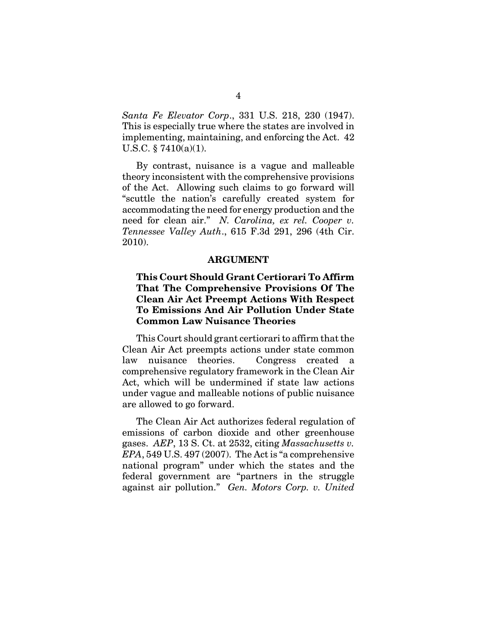*Santa Fe Elevator Corp*., 331 U.S. 218, 230 (1947). This is especially true where the states are involved in implementing, maintaining, and enforcing the Act. 42 U.S.C.  $\S 7410(a)(1)$ .

By contrast, nuisance is a vague and malleable theory inconsistent with the comprehensive provisions of the Act. Allowing such claims to go forward will "scuttle the nation's carefully created system for accommodating the need for energy production and the need for clean air." *N. Carolina, ex rel. Cooper v. Tennessee Valley Auth*., 615 F.3d 291, 296 (4th Cir. 2010).

#### **ARGUMENT**

### **This Court Should Grant Certiorari To Affirm That The Comprehensive Provisions Of The Clean Air Act Preempt Actions With Respect To Emissions And Air Pollution Under State Common Law Nuisance Theories**

This Court should grant certiorari to affirm that the Clean Air Act preempts actions under state common law nuisance theories. Congress created a comprehensive regulatory framework in the Clean Air Act, which will be undermined if state law actions under vague and malleable notions of public nuisance are allowed to go forward.

The Clean Air Act authorizes federal regulation of emissions of carbon dioxide and other greenhouse gases. *AEP*, 13 S. Ct. at 2532, citing *Massachusetts v. EPA*, 549 U.S. 497 (2007). The Act is "a comprehensive national program" under which the states and the federal government are "partners in the struggle against air pollution." *Gen. Motors Corp. v. United*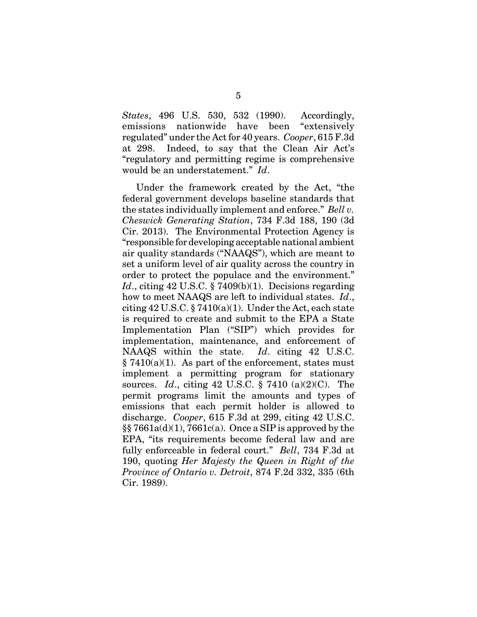*States*, 496 U.S. 530, 532 (1990). Accordingly, emissions nationwide have been "extensively regulated" under the Act for 40 years. *Cooper*, 615 F.3d at 298. Indeed, to say that the Clean Air Act's "regulatory and permitting regime is comprehensive would be an understatement." *Id*.

Under the framework created by the Act, "the federal government develops baseline standards that the states individually implement and enforce." *Bell v. Cheswick Generating Station*, 734 F.3d 188, 190 (3d Cir. 2013). The Environmental Protection Agency is "responsible for developing acceptable national ambient air quality standards ("NAAQS"), which are meant to set a uniform level of air quality across the country in order to protect the populace and the environment." *Id.*, citing 42 U.S.C. § 7409(b)(1). Decisions regarding how to meet NAAQS are left to individual states. *Id*., citing  $42 \text{ U.S.C.}$  §  $7410(a)(1)$ . Under the Act, each state is required to create and submit to the EPA a State Implementation Plan ("SIP") which provides for implementation, maintenance, and enforcement of NAAQS within the state. *Id*. citing 42 U.S.C.  $§ 7410(a)(1)$ . As part of the enforcement, states must implement a permitting program for stationary sources. *Id*., citing 42 U.S.C. § 7410 (a)(2)(C). The permit programs limit the amounts and types of emissions that each permit holder is allowed to discharge. *Cooper*, 615 F.3d at 299, citing 42 U.S.C.  $\S$ § 7661a(d)(1), 7661c(a). Once a SIP is approved by the EPA, "its requirements become federal law and are fully enforceable in federal court." *Bell*, 734 F.3d at 190, quoting *Her Majesty the Queen in Right of the Province of Ontario v. Detroit*, 874 F.2d 332, 335 (6th Cir. 1989).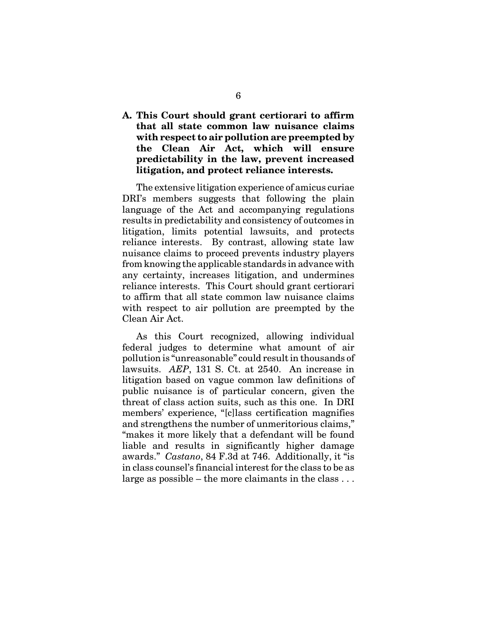**A. This Court should grant certiorari to affirm that all state common law nuisance claims with respect to air pollution are preempted by the Clean Air Act, which will ensure predictability in the law, prevent increased litigation, and protect reliance interests.**

The extensive litigation experience of amicus curiae DRI's members suggests that following the plain language of the Act and accompanying regulations results in predictability and consistency of outcomes in litigation, limits potential lawsuits, and protects reliance interests. By contrast, allowing state law nuisance claims to proceed prevents industry players from knowing the applicable standards in advance with any certainty, increases litigation, and undermines reliance interests. This Court should grant certiorari to affirm that all state common law nuisance claims with respect to air pollution are preempted by the Clean Air Act.

As this Court recognized, allowing individual federal judges to determine what amount of air pollution is "unreasonable" could result in thousands of lawsuits. *AEP*, 131 S. Ct. at 2540. An increase in litigation based on vague common law definitions of public nuisance is of particular concern, given the threat of class action suits, such as this one. In DRI members' experience, "[c]lass certification magnifies and strengthens the number of unmeritorious claims," "makes it more likely that a defendant will be found liable and results in significantly higher damage awards." *Castano*, 84 F.3d at 746. Additionally, it "is in class counsel's financial interest for the class to be as large as possible – the more claimants in the class  $\dots$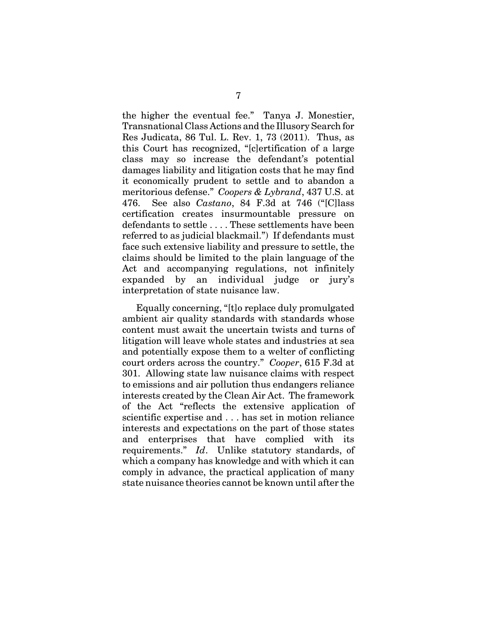the higher the eventual fee." Tanya J. Monestier, Transnational Class Actions and the Illusory Search for Res Judicata, 86 Tul. L. Rev. 1, 73 (2011). Thus, as this Court has recognized, "[c]ertification of a large class may so increase the defendant's potential damages liability and litigation costs that he may find it economically prudent to settle and to abandon a meritorious defense." *Coopers & Lybrand*, 437 U.S. at 476. See also *Castano*, 84 F.3d at 746 ("[C]lass certification creates insurmountable pressure on defendants to settle . . . . These settlements have been referred to as judicial blackmail.") If defendants must face such extensive liability and pressure to settle, the claims should be limited to the plain language of the Act and accompanying regulations, not infinitely expanded by an individual judge or jury's interpretation of state nuisance law.

Equally concerning, "[t]o replace duly promulgated ambient air quality standards with standards whose content must await the uncertain twists and turns of litigation will leave whole states and industries at sea and potentially expose them to a welter of conflicting court orders across the country." *Cooper*, 615 F.3d at 301. Allowing state law nuisance claims with respect to emissions and air pollution thus endangers reliance interests created by the Clean Air Act. The framework of the Act "reflects the extensive application of scientific expertise and . . . has set in motion reliance interests and expectations on the part of those states and enterprises that have complied with its requirements." *Id*. Unlike statutory standards, of which a company has knowledge and with which it can comply in advance, the practical application of many state nuisance theories cannot be known until after the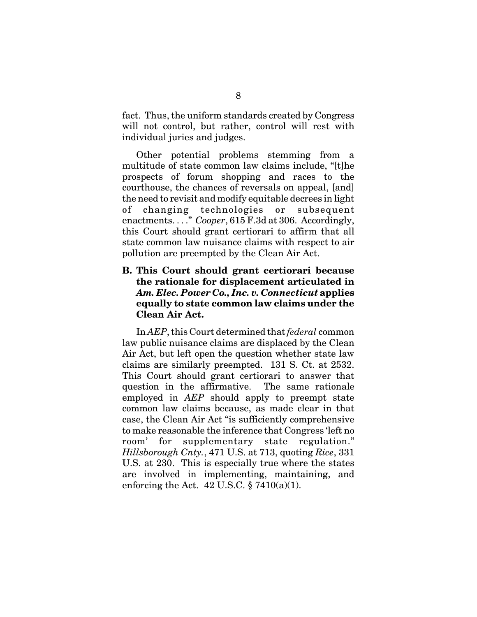fact. Thus, the uniform standards created by Congress will not control, but rather, control will rest with individual juries and judges.

Other potential problems stemming from a multitude of state common law claims include, "[t]he prospects of forum shopping and races to the courthouse, the chances of reversals on appeal, [and] the need to revisit and modify equitable decrees in light of changing technologies or subsequent enactments. . . ." *Cooper*, 615 F.3d at 306. Accordingly, this Court should grant certiorari to affirm that all state common law nuisance claims with respect to air pollution are preempted by the Clean Air Act.

### **B. This Court should grant certiorari because the rationale for displacement articulated in** *Am. Elec. Power Co., Inc. v. Connecticut* **applies equally to state common law claims under the Clean Air Act.**

In *AEP*, this Court determined that *federal* common law public nuisance claims are displaced by the Clean Air Act, but left open the question whether state law claims are similarly preempted. 131 S. Ct. at 2532. This Court should grant certiorari to answer that question in the affirmative. The same rationale employed in *AEP* should apply to preempt state common law claims because, as made clear in that case, the Clean Air Act "is sufficiently comprehensive to make reasonable the inference that Congress 'left no room' for supplementary state regulation." *Hillsborough Cnty.*, 471 U.S. at 713, quoting *Rice*, 331 U.S. at 230. This is especially true where the states are involved in implementing, maintaining, and enforcing the Act. 42 U.S.C.  $\S 7410(a)(1)$ .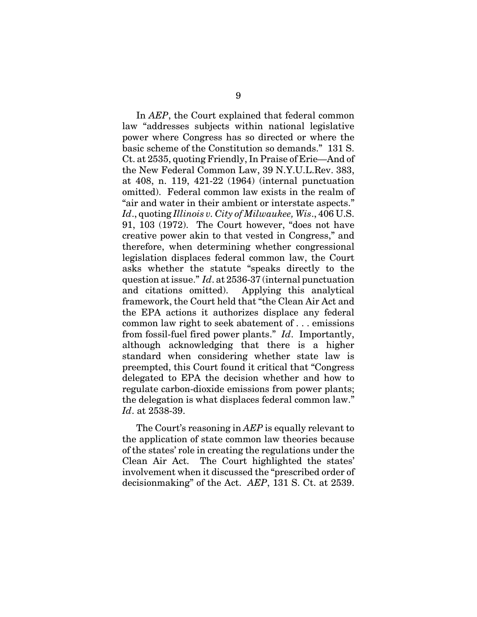In *AEP*, the Court explained that federal common law "addresses subjects within national legislative power where Congress has so directed or where the basic scheme of the Constitution so demands." 131 S. Ct. at 2535, quoting Friendly, In Praise of Erie—And of the New Federal Common Law, 39 N.Y.U.L.Rev. 383, at 408, n. 119, 421-22 (1964) (internal punctuation omitted). Federal common law exists in the realm of "air and water in their ambient or interstate aspects." *Id*., quoting *Illinois v. City of Milwaukee, Wis*., 406 U.S. 91, 103 (1972). The Court however, "does not have creative power akin to that vested in Congress," and therefore, when determining whether congressional legislation displaces federal common law, the Court asks whether the statute "speaks directly to the question at issue." *Id*. at 2536-37 (internal punctuation and citations omitted). Applying this analytical framework, the Court held that "the Clean Air Act and the EPA actions it authorizes displace any federal common law right to seek abatement of . . . emissions from fossil-fuel fired power plants." *Id*. Importantly, although acknowledging that there is a higher standard when considering whether state law is preempted, this Court found it critical that "Congress delegated to EPA the decision whether and how to regulate carbon-dioxide emissions from power plants; the delegation is what displaces federal common law." *Id*. at 2538-39.

The Court's reasoning in *AEP* is equally relevant to the application of state common law theories because of the states' role in creating the regulations under the Clean Air Act. The Court highlighted the states' involvement when it discussed the "prescribed order of decisionmaking" of the Act. *AEP*, 131 S. Ct. at 2539.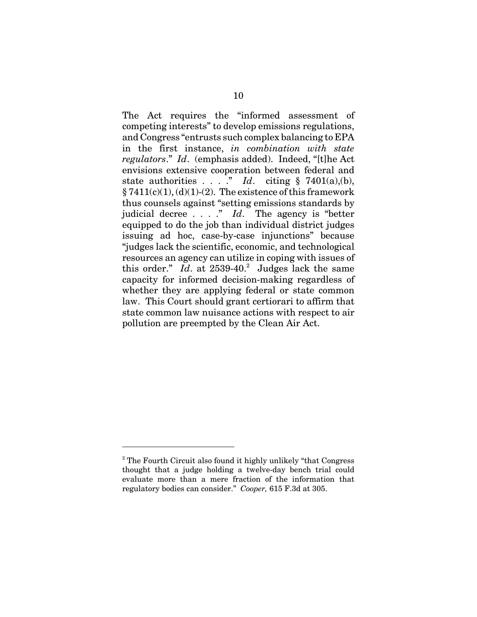The Act requires the "informed assessment of competing interests" to develop emissions regulations, and Congress "entrusts such complex balancing to EPA in the first instance, *in combination with state regulators*." *Id*. (emphasis added). Indeed, "[t]he Act envisions extensive cooperation between federal and state authorities . . . . " *Id*. citing  $\S$  7401(a),(b),  $\S 7411(c)(1), (d)(1)-(2)$ . The existence of this framework thus counsels against "setting emissions standards by judicial decree . . . ." *Id*. The agency is "better equipped to do the job than individual district judges issuing ad hoc, case-by-case injunctions" because "judges lack the scientific, economic, and technological resources an agency can utilize in coping with issues of this order."  $Id.$  at  $2539-40.^2$  Judges lack the same capacity for informed decision-making regardless of whether they are applying federal or state common law. This Court should grant certiorari to affirm that state common law nuisance actions with respect to air pollution are preempted by the Clean Air Act.

<sup>&</sup>lt;sup>2</sup> The Fourth Circuit also found it highly unlikely "that Congress" thought that a judge holding a twelve-day bench trial could evaluate more than a mere fraction of the information that regulatory bodies can consider." *Cooper,* 615 F.3d at 305.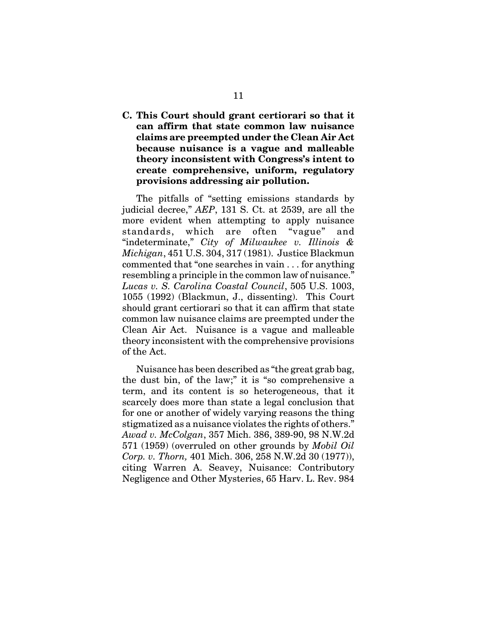**C. This Court should grant certiorari so that it can affirm that state common law nuisance claims are preempted under the Clean Air Act because nuisance is a vague and malleable theory inconsistent with Congress's intent to create comprehensive, uniform, regulatory provisions addressing air pollution.**

The pitfalls of "setting emissions standards by judicial decree," *AEP*, 131 S. Ct. at 2539, are all the more evident when attempting to apply nuisance standards, which are often "vague" and "indeterminate," *City of Milwaukee v. Illinois & Michigan*, 451 U.S. 304, 317 (1981). Justice Blackmun commented that "one searches in vain . . . for anything resembling a principle in the common law of nuisance." *Lucas v. S. Carolina Coastal Council*, 505 U.S. 1003, 1055 (1992) (Blackmun, J., dissenting). This Court should grant certiorari so that it can affirm that state common law nuisance claims are preempted under the Clean Air Act. Nuisance is a vague and malleable theory inconsistent with the comprehensive provisions of the Act.

Nuisance has been described as "the great grab bag, the dust bin, of the law;" it is "so comprehensive a term, and its content is so heterogeneous, that it scarcely does more than state a legal conclusion that for one or another of widely varying reasons the thing stigmatized as a nuisance violates the rights of others." *Awad v. McColgan*, 357 Mich. 386, 389-90, 98 N.W.2d 571 (1959) (overruled on other grounds by *Mobil Oil Corp. v. Thorn,* 401 Mich. 306, 258 N.W.2d 30 (1977)), citing Warren A. Seavey, Nuisance: Contributory Negligence and Other Mysteries, 65 Harv. L. Rev. 984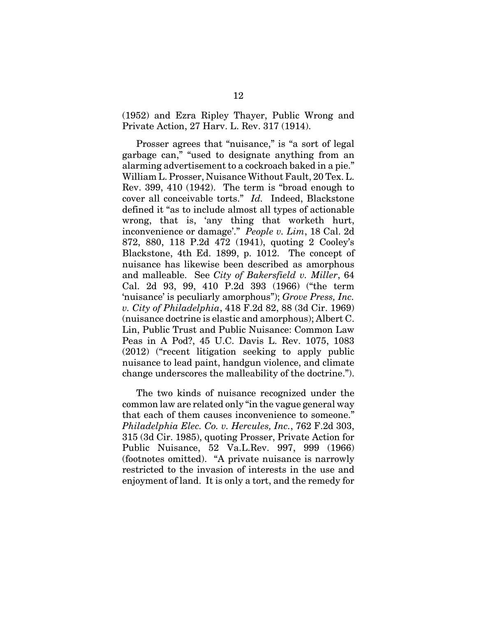(1952) and Ezra Ripley Thayer, Public Wrong and Private Action, 27 Harv. L. Rev. 317 (1914).

Prosser agrees that "nuisance," is "a sort of legal garbage can," "used to designate anything from an alarming advertisement to a cockroach baked in a pie." William L. Prosser, Nuisance Without Fault, 20 Tex. L. Rev. 399, 410 (1942). The term is "broad enough to cover all conceivable torts." *Id.* Indeed, Blackstone defined it "as to include almost all types of actionable wrong, that is, 'any thing that worketh hurt, inconvenience or damage'." *People v. Lim*, 18 Cal. 2d 872, 880, 118 P.2d 472 (1941), quoting 2 Cooley's Blackstone, 4th Ed. 1899, p. 1012. The concept of nuisance has likewise been described as amorphous and malleable. See *City of Bakersfield v. Miller*, 64 Cal. 2d 93, 99, 410 P.2d 393 (1966) ("the term 'nuisance' is peculiarly amorphous"); *Grove Press, Inc. v. City of Philadelphia*, 418 F.2d 82, 88 (3d Cir. 1969) (nuisance doctrine is elastic and amorphous); Albert C. Lin, Public Trust and Public Nuisance: Common Law Peas in A Pod?, 45 U.C. Davis L. Rev. 1075, 1083 (2012) ("recent litigation seeking to apply public nuisance to lead paint, handgun violence, and climate change underscores the malleability of the doctrine.").

The two kinds of nuisance recognized under the common law are related only "in the vague general way that each of them causes inconvenience to someone." *Philadelphia Elec. Co. v. Hercules, Inc.*, 762 F.2d 303, 315 (3d Cir. 1985), quoting Prosser, Private Action for Public Nuisance, 52 Va.L.Rev. 997, 999 (1966) (footnotes omitted). "A private nuisance is narrowly restricted to the invasion of interests in the use and enjoyment of land. It is only a tort, and the remedy for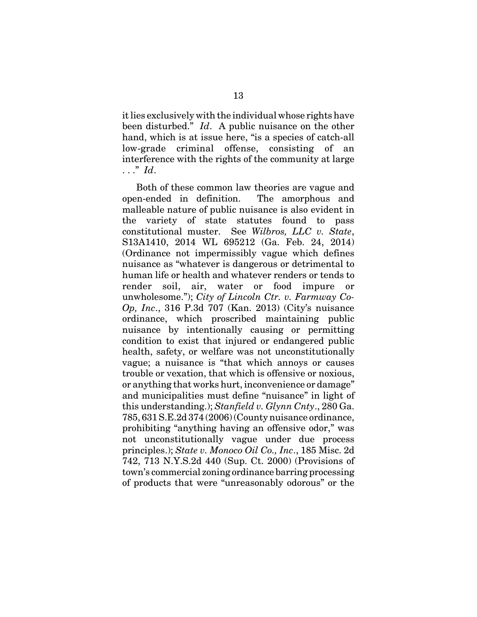it lies exclusively with the individual whose rights have been disturbed." *Id*. A public nuisance on the other hand, which is at issue here, "is a species of catch-all low-grade criminal offense, consisting of an interference with the rights of the community at large . . ." *Id*.

Both of these common law theories are vague and open-ended in definition. The amorphous and malleable nature of public nuisance is also evident in the variety of state statutes found to pass constitutional muster. See *Wilbros, LLC v. State*, S13A1410, 2014 WL 695212 (Ga. Feb. 24, 2014) (Ordinance not impermissibly vague which defines nuisance as "whatever is dangerous or detrimental to human life or health and whatever renders or tends to render soil, air, water or food impure or unwholesome."); *City of Lincoln Ctr. v. Farmway Co-Op, Inc*., 316 P.3d 707 (Kan. 2013) (City's nuisance ordinance, which proscribed maintaining public nuisance by intentionally causing or permitting condition to exist that injured or endangered public health, safety, or welfare was not unconstitutionally vague; a nuisance is "that which annoys or causes trouble or vexation, that which is offensive or noxious, or anything that works hurt, inconvenience or damage" and municipalities must define "nuisance" in light of this understanding.); *Stanfield v. Glynn Cnty*., 280 Ga. 785, 631 S.E.2d 374 (2006) (County nuisance ordinance, prohibiting "anything having an offensive odor," was not unconstitutionally vague under due process principles.); *State v. Monoco Oil Co., Inc*., 185 Misc. 2d 742, 713 N.Y.S.2d 440 (Sup. Ct. 2000) (Provisions of town's commercial zoning ordinance barring processing of products that were "unreasonably odorous" or the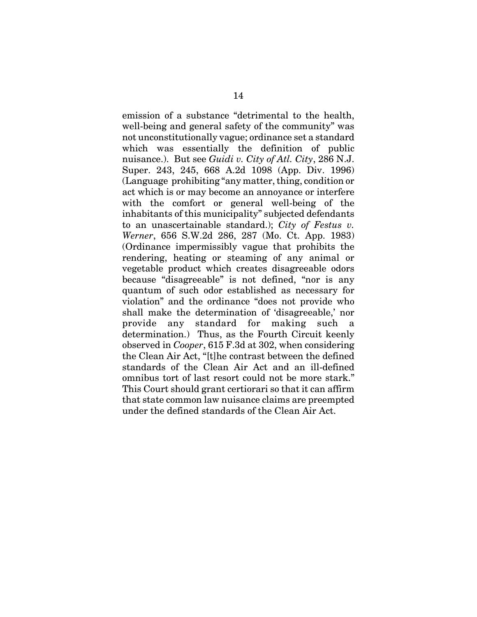emission of a substance "detrimental to the health, well-being and general safety of the community" was not unconstitutionally vague; ordinance set a standard which was essentially the definition of public nuisance.). But see *Guidi v. City of Atl. City*, 286 N.J. Super. 243, 245, 668 A.2d 1098 (App. Div. 1996) (Language prohibiting "any matter, thing, condition or act which is or may become an annoyance or interfere with the comfort or general well-being of the inhabitants of this municipality" subjected defendants to an unascertainable standard.); *City of Festus v. Werner*, 656 S.W.2d 286, 287 (Mo. Ct. App. 1983) (Ordinance impermissibly vague that prohibits the rendering, heating or steaming of any animal or vegetable product which creates disagreeable odors because "disagreeable" is not defined, "nor is any quantum of such odor established as necessary for violation" and the ordinance "does not provide who shall make the determination of 'disagreeable,' nor provide any standard for making such a determination.) Thus, as the Fourth Circuit keenly observed in *Cooper*, 615 F.3d at 302, when considering the Clean Air Act, "[t]he contrast between the defined standards of the Clean Air Act and an ill-defined omnibus tort of last resort could not be more stark." This Court should grant certiorari so that it can affirm that state common law nuisance claims are preempted under the defined standards of the Clean Air Act.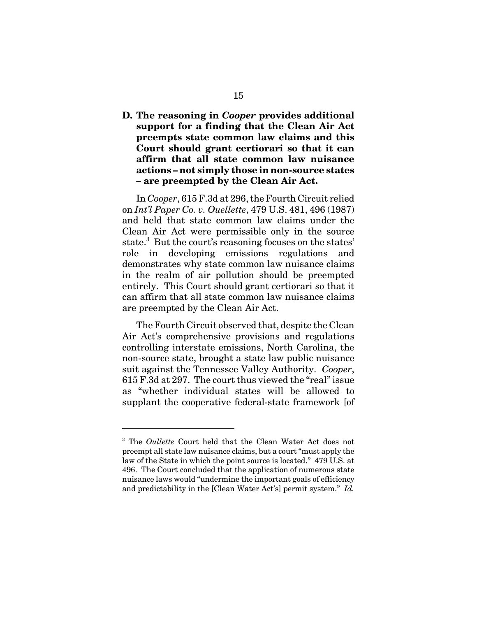**D. The reasoning in** *Cooper* **provides additional support for a finding that the Clean Air Act preempts state common law claims and this Court should grant certiorari so that it can affirm that all state common law nuisance actions – not simply those in non-source states – are preempted by the Clean Air Act.**

In *Cooper*, 615 F.3d at 296, the Fourth Circuit relied on *Int'l Paper Co. v. Ouellette*, 479 U.S. 481, 496 (1987) and held that state common law claims under the Clean Air Act were permissible only in the source state.<sup>3</sup> But the court's reasoning focuses on the states' role in developing emissions regulations and demonstrates why state common law nuisance claims in the realm of air pollution should be preempted entirely. This Court should grant certiorari so that it can affirm that all state common law nuisance claims are preempted by the Clean Air Act.

The Fourth Circuit observed that, despite the Clean Air Act's comprehensive provisions and regulations controlling interstate emissions, North Carolina, the non-source state, brought a state law public nuisance suit against the Tennessee Valley Authority. *Cooper*, 615 F.3d at 297. The court thus viewed the "real" issue as "whether individual states will be allowed to supplant the cooperative federal-state framework [of

<sup>3</sup> The *Oullette* Court held that the Clean Water Act does not preempt all state law nuisance claims, but a court "must apply the law of the State in which the point source is located." 479 U.S. at 496. The Court concluded that the application of numerous state nuisance laws would "undermine the important goals of efficiency and predictability in the [Clean Water Act's] permit system." *Id.*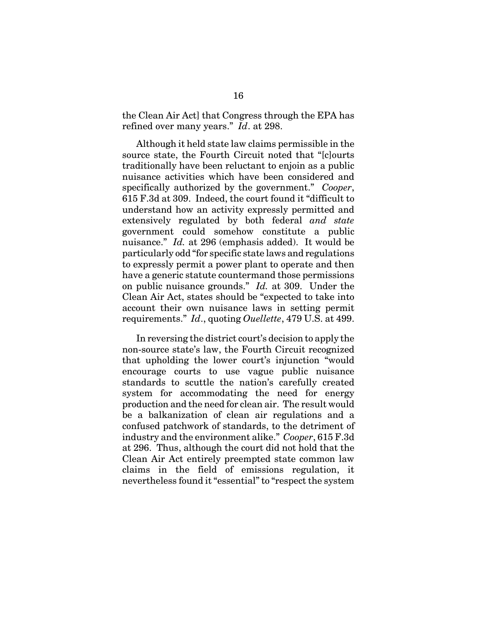the Clean Air Act] that Congress through the EPA has refined over many years." *Id*. at 298.

Although it held state law claims permissible in the source state, the Fourth Circuit noted that "[c]ourts traditionally have been reluctant to enjoin as a public nuisance activities which have been considered and specifically authorized by the government." *Cooper*, 615 F.3d at 309. Indeed, the court found it "difficult to understand how an activity expressly permitted and extensively regulated by both federal *and state* government could somehow constitute a public nuisance." *Id.* at 296 (emphasis added). It would be particularly odd "for specific state laws and regulations to expressly permit a power plant to operate and then have a generic statute countermand those permissions on public nuisance grounds." *Id.* at 309. Under the Clean Air Act, states should be "expected to take into account their own nuisance laws in setting permit requirements." *Id*., quoting *Ouellette*, 479 U.S. at 499.

In reversing the district court's decision to apply the non-source state's law, the Fourth Circuit recognized that upholding the lower court's injunction "would encourage courts to use vague public nuisance standards to scuttle the nation's carefully created system for accommodating the need for energy production and the need for clean air. The result would be a balkanization of clean air regulations and a confused patchwork of standards, to the detriment of industry and the environment alike." *Cooper*, 615 F.3d at 296. Thus, although the court did not hold that the Clean Air Act entirely preempted state common law claims in the field of emissions regulation, it nevertheless found it "essential" to "respect the system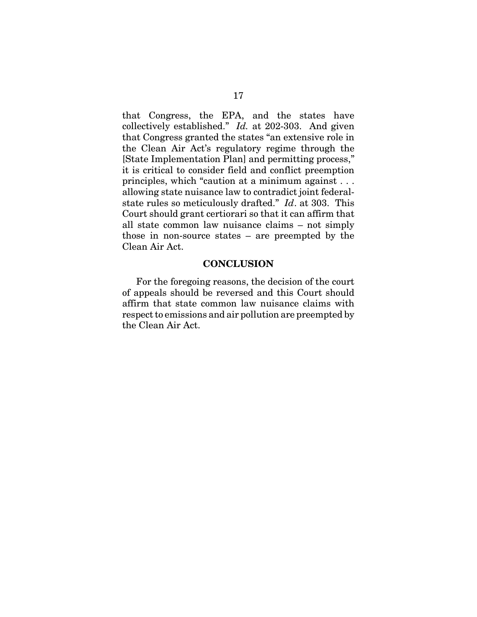that Congress, the EPA, and the states have collectively established." *Id.* at 202-303. And given that Congress granted the states "an extensive role in the Clean Air Act's regulatory regime through the [State Implementation Plan] and permitting process," it is critical to consider field and conflict preemption principles, which "caution at a minimum against . . . allowing state nuisance law to contradict joint federalstate rules so meticulously drafted." *Id*. at 303. This Court should grant certiorari so that it can affirm that all state common law nuisance claims – not simply those in non-source states – are preempted by the Clean Air Act.

#### **CONCLUSION**

For the foregoing reasons, the decision of the court of appeals should be reversed and this Court should affirm that state common law nuisance claims with respect to emissions and air pollution are preempted by the Clean Air Act.